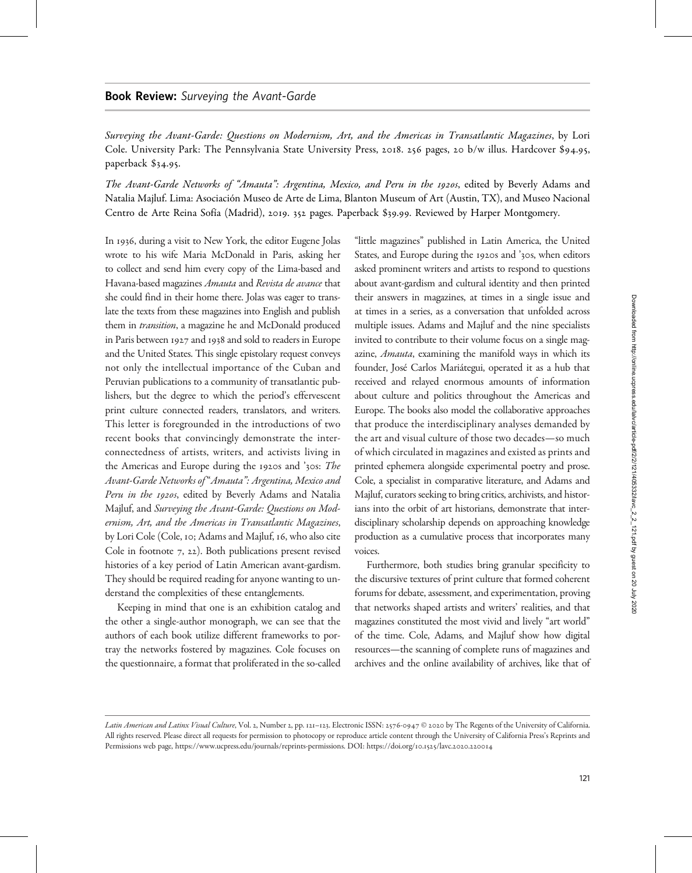## Book Review: Surveying the Avant-Garde

Surveying the Avant-Garde: Questions on Modernism, Art, and the Americas in Transatlantic Magazines, by Lori Cole. University Park: The Pennsylvania State University Press, 2018. 256 pages, 20 b/w illus. Hardcover \$94.95, paperback \$34.95.

The Avant-Garde Networks of "Amauta": Argentina, Mexico, and Peru in the 1920s, edited by Beverly Adams and Natalia Majluf. Lima: Asociación Museo de Arte de Lima, Blanton Museum of Art (Austin, TX), and Museo Nacional Centro de Arte Reina Sofía (Madrid), 2019. 352 pages. Paperback \$39.99. Reviewed by Harper Montgomery.

In 1936, during a visit to New York, the editor Eugene Jolas wrote to his wife Maria McDonald in Paris, asking her to collect and send him every copy of the Lima-based and Havana-based magazines Amauta and Revista de avance that she could find in their home there. Jolas was eager to translate the texts from these magazines into English and publish them in *transition*, a magazine he and McDonald produced in Paris between 1927 and 1938 and sold to readers in Europe and the United States. This single epistolary request conveys not only the intellectual importance of the Cuban and Peruvian publications to a community of transatlantic publishers, but the degree to which the period's effervescent print culture connected readers, translators, and writers. This letter is foregrounded in the introductions of two recent books that convincingly demonstrate the interconnectedness of artists, writers, and activists living in the Americas and Europe during the 1920s and '30s: The Avant-Garde Networks of "Amauta": Argentina, Mexico and Peru in the 1920s, edited by Beverly Adams and Natalia Majluf, and Surveying the Avant-Garde: Questions on Modernism, Art, and the Americas in Transatlantic Magazines, by Lori Cole (Cole, 10; Adams and Majluf, 16, who also cite Cole in footnote 7, 22). Both publications present revised histories of a key period of Latin American avant-gardism. They should be required reading for anyone wanting to understand the complexities of these entanglements.

Keeping in mind that one is an exhibition catalog and the other a single-author monograph, we can see that the authors of each book utilize different frameworks to portray the networks fostered by magazines. Cole focuses on the questionnaire, a format that proliferated in the so-called "little magazines" published in Latin America, the United States, and Europe during the 1920s and '30s, when editors asked prominent writers and artists to respond to questions about avant-gardism and cultural identity and then printed their answers in magazines, at times in a single issue and at times in a series, as a conversation that unfolded across multiple issues. Adams and Majluf and the nine specialists invited to contribute to their volume focus on a single magazine, Amauta, examining the manifold ways in which its founder, José Carlos Mariátegui, operated it as a hub that received and relayed enormous amounts of information about culture and politics throughout the Americas and Europe. The books also model the collaborative approaches that produce the interdisciplinary analyses demanded by the art and visual culture of those two decades—so much of which circulated in magazines and existed as prints and printed ephemera alongside experimental poetry and prose. Cole, a specialist in comparative literature, and Adams and Majluf, curators seeking to bring critics, archivists, and historians into the orbit of art historians, demonstrate that interdisciplinary scholarship depends on approaching knowledge production as a cumulative process that incorporates many voices.

Furthermore, both studies bring granular specificity to the discursive textures of print culture that formed coherent forums for debate, assessment, and experimentation, proving that networks shaped artists and writers' realities, and that magazines constituted the most vivid and lively "art world" of the time. Cole, Adams, and Majluf show how digital resources—the scanning of complete runs of magazines and archives and the online availability of archives, like that of

Latin American and Latinx Visual Culture, Vol. 2, Number 2, pp. 121-123. Electronic ISSN: 2576-0947 @ 2020 by The Regents of the University of California. All rights reserved. Please direct all requests for permission to photocopy or reproduce article content through the University of California Press's Reprints and Permissions web page, [https://www.ucpress.edu/journals/reprints-permissions.](https://www.ucpress.edu/journals/reprints-permissions) DOI: [https://doi.org/](https://doi.org/10.1525/lavc.2020.220014)10.1525/lavc.2020.220014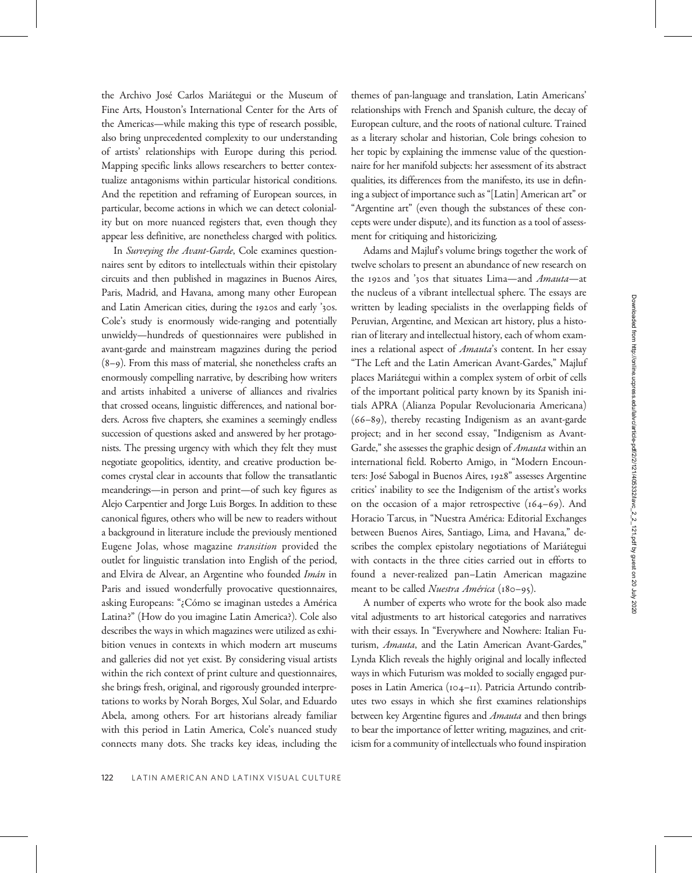the Archivo José Carlos Mariátegui or the Museum of Fine Arts, Houston's International Center for the Arts of the Americas—while making this type of research possible, also bring unprecedented complexity to our understanding of artists' relationships with Europe during this period. Mapping specific links allows researchers to better contextualize antagonisms within particular historical conditions. And the repetition and reframing of European sources, in particular, become actions in which we can detect coloniality but on more nuanced registers that, even though they appear less definitive, are nonetheless charged with politics.

In Surveying the Avant-Garde, Cole examines questionnaires sent by editors to intellectuals within their epistolary circuits and then published in magazines in Buenos Aires, Paris, Madrid, and Havana, among many other European and Latin American cities, during the 1920s and early '30s. Cole's study is enormously wide-ranging and potentially unwieldy—hundreds of questionnaires were published in avant-garde and mainstream magazines during the period  $(8-9)$ . From this mass of material, she nonetheless crafts an enormously compelling narrative, by describing how writers and artists inhabited a universe of alliances and rivalries that crossed oceans, linguistic differences, and national borders. Across five chapters, she examines a seemingly endless succession of questions asked and answered by her protagonists. The pressing urgency with which they felt they must negotiate geopolitics, identity, and creative production becomes crystal clear in accounts that follow the transatlantic meanderings—in person and print—of such key figures as Alejo Carpentier and Jorge Luis Borges. In addition to these canonical figures, others who will be new to readers without a background in literature include the previously mentioned Eugene Jolas, whose magazine transition provided the outlet for linguistic translation into English of the period, and Elvira de Alvear, an Argentine who founded Imán in Paris and issued wonderfully provocative questionnaires, asking Europeans: "¿Cómo se imaginan ustedes a América Latina?" (How do you imagine Latin America?). Cole also describes the ways in which magazines were utilized as exhibition venues in contexts in which modern art museums and galleries did not yet exist. By considering visual artists within the rich context of print culture and questionnaires, she brings fresh, original, and rigorously grounded interpretations to works by Norah Borges, Xul Solar, and Eduardo Abela, among others. For art historians already familiar with this period in Latin America, Cole's nuanced study connects many dots. She tracks key ideas, including the

themes of pan-language and translation, Latin Americans' relationships with French and Spanish culture, the decay of European culture, and the roots of national culture. Trained as a literary scholar and historian, Cole brings cohesion to her topic by explaining the immense value of the questionnaire for her manifold subjects: her assessment of its abstract qualities, its differences from the manifesto, its use in defining a subject of importance such as "[Latin] American art" or "Argentine art" (even though the substances of these concepts were under dispute), and its function as a tool of assessment for critiquing and historicizing. Adams and Majluf's volume brings together the work of

twelve scholars to present an abundance of new research on the 1920s and '30s that situates Lima—and Amauta—at the nucleus of a vibrant intellectual sphere. The essays are written by leading specialists in the overlapping fields of Peruvian, Argentine, and Mexican art history, plus a historian of literary and intellectual history, each of whom examines a relational aspect of *Amauta's* content. In her essay "The Left and the Latin American Avant-Gardes," Majluf places Mariátegui within a complex system of orbit of cells of the important political party known by its Spanish initials APRA (Alianza Popular Revolucionaria Americana)  $(66-89)$ , thereby recasting Indigenism as an avant-garde project; and in her second essay, "Indigenism as Avant-Garde," she assesses the graphic design of *Amauta* within an international field. Roberto Amigo, in "Modern Encounters: José Sabogal in Buenos Aires, 1928" assesses Argentine critics' inability to see the Indigenism of the artist's works on the occasion of a major retrospective  $(164-69)$ . And Horacio Tarcus, in "Nuestra América: Editorial Exchanges between Buenos Aires, Santiago, Lima, and Havana," describes the complex epistolary negotiations of Mariátegui with contacts in the three cities carried out in efforts to found a never-realized pan–Latin American magazine meant to be called *Nuestra América* (180–95).

A number of experts who wrote for the book also made vital adjustments to art historical categories and narratives with their essays. In "Everywhere and Nowhere: Italian Futurism, Amauta, and the Latin American Avant-Gardes," Lynda Klich reveals the highly original and locally inflected ways in which Futurism was molded to socially engaged purposes in Latin America (104-11). Patricia Artundo contributes two essays in which she first examines relationships between key Argentine figures and Amauta and then brings to bear the importance of letter writing, magazines, and criticism for a community of intellectuals who found inspiration